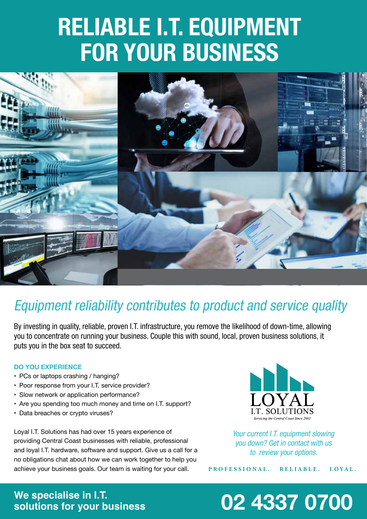# **RELIABLE I.T. EQUIPMENT FOR YOUR BUSINESS**



### *Equipment reliability contributes to product and service quality*

*By investing in quality, reliable, proven I.T. infrastructure, you remove the likelihood of down-time, allowing you to concentrate on running your business. Couple this with sound, local, proven business solutions, it puts you in the box seat to succeed.*

#### **DO YOU EXPERIENCE**

- PCs or laptops crashing / hanging?
- Poor response from your I.T. service provider?
- Slow network or application performance?
- Are you spending too much money and time on I.T. support?
- Data breaches or crypto viruses?

Loyal I.T. Solutions has had over 15 years experience of providing Central Coast businesses with reliable, professional and loyal I.T. hardware, software and support. Give us a call for a no obligations chat about how we can work together to help you achieve your business goals. Our team is waiting for your call.



*Your current I.T. equipment slowing you down? Get in contact with us to review your options.*

**PROFESSIONAL. RELIABLE. LOYAL.**

# We specialise in I.T.<br>solutions for your business

## **solutions for your business 02 4337 0700**